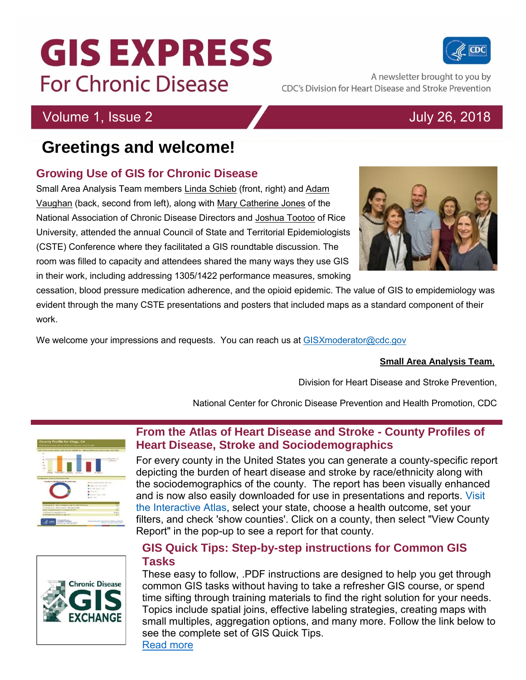# **GIS EXPRESS For Chronic Disease**

## **Greetings and welcome!**

### **Growing Use of GIS for Chronic Disease**

Small Area Analysis Team members Linda Schieb (front, right) and Adam Vaughan (back, second from left), along with Mary Catherine Jones of the National Association of Chronic Disease Directors and Joshua Tootoo of Rice University, attended the annual Council of State and Territorial Epidemiologists (CSTE) Conference where they facilitated a GIS roundtable discussion. The room was filled to capacity and attendees shared the many ways they use GIS in their work, including addressing 1305/1422 performance measures, smoking

cessation, blood pressure medication adherence, and the opioid epidemic. The value of GIS to empidemiology was evident through the many CSTE presentations and posters that included maps as a standard component of their work.

We welcome your impressions and requests. You can reach us at [GISXmoderator@cdc.gov](mailto:GISXmoderator@cdc.gov)

#### **Small Area Analysis Team**,

Division for Heart Disease and Stroke Prevention,

National Center for Chronic Disease Prevention and Health Promotion, CDC

### **From the Atlas of Heart Disease and Stroke - County Profiles of Heart Disease, Stroke and Sociodemographics**

For every county in the United States you can generate a county-specific report depicting the burden of heart disease and stroke by race/ethnicity along with the sociodemographics of the county. The report has been visually enhanced and is now also easily downloaded for use in presentations and reports. Visit [the Interactive Atlas,](https://nccd.cdc.gov/DHDSPAtlas/) select your state, choose a health outcome, set your filters, and check 'show counties'. Click on a county, then select "View County Report" in the pop-up to see a report for that county.

### **GIS Quick Tips: Step-by-step instructions for Common GIS Tasks**

These easy to follow, .PDF instructions are designed to help you get through common GIS tasks without having to take a refresher GIS course, or spend time sifting through training materials to find the right solution for your needs. Topics include spatial joins, effective labeling strategies, creating maps with small multiples, aggregation options, and many more. Follow the link below to see the complete set of GIS Quick Tips.

[Read more](https://www.cdc.gov/dhdsp/maps/gisx/gis-quick-tips-archive.html)







**Chronic Disease** 



CDC's Division for Heart Disease and Stroke Prevention

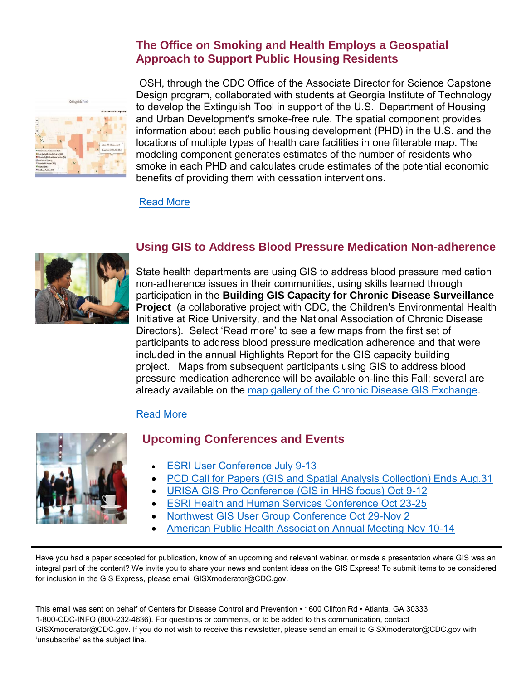#### **The Office on Smoking and Health Employs a Geospatial Approach to Support Public Housing Residents**



OSH, through the CDC Office of the Associate Director for Science Capstone Design program, collaborated with students at Georgia Institute of Technology to develop the Extinguish Tool in support of the U.S. Department of Housing and Urban Development's smoke-free rule. The spatial component provides information about each public housing development (PHD) in the U.S. and the locations of multiple types of health care facilities in one filterable map. The modeling component generates estimates of the number of residents who smoke in each PHD and calculates crude estimates of the potential economic benefits of providing them with cessation interventions.

[Read More](https://chhs.gatech.edu/smokefree/index.html)



#### **Using GIS to Address Blood Pressure Medication Non-adherence**

State health departments are using GIS to address blood pressure medication non-adherence issues in their communities, using skills learned through participation in the **Building GIS Capacity for Chronic Disease Surveillance Project** (a collaborative project with CDC, the Children's Environmental Health Initiative at Rice University, and the National Association of Chronic Disease Directors). Select 'Read more' to see a few maps from the first set of participants to address blood pressure medication adherence and that were included in the annual Highlights Report for the GIS capacity building project. Maps from subsequent participants using GIS to address blood pressure medication adherence will be available on-line this Fall; several are already available on the [map gallery of the Chronic Disease GIS Exchange.](https://www.cdc.gov/dhdsp/maps/gisx/mapgallery/index.html)

#### [Read More](https://www.cdc.gov/dhdsp/docs/gis-highlights-vol9-508.pdf#page=21)



#### **Upcoming Conferences and Events**

- [ESRI User Conference July 9-13](https://www.esri.com/en-us/about/events/uc/overview)
- [PCD Call for Papers \(GIS and Spatial Analysis Collection\) Ends Aug.31](https://www.cdc.gov/pcd/announcements.htm)
- [URISA GIS Pro Conference \(GIS in HHS focus\) Oct 9-12](http://www.urisa.org/education-events/gis-pro-2016-urisa-s-54th-annual-conference/)
- [ESRI Health and Human Services Conference Oct 23-25](http://www.esri.com/events/health)
- [Northwest GIS User Group Conference Oct 29-Nov 2](https://www.nwgis.org/)
- [American Public Health Association Annual Meeting Nov 10-14](https://www.apha.org/events-and-meetings/annual)

Have you had a paper accepted for publication, know of an upcoming and relevant webinar, or made a presentation where GIS was an integral part of the content? We invite you to share your news and content ideas on the GIS Express! To submit items to be considered for inclusion in the GIS Express, please email [GISXmoderator@CDC.gov.](mailto:GISXmoderator@CDC.gov)

This email was sent on behalf of Centers for Disease Control and Prevention • 1600 Clifton Rd • Atlanta, GA 30333 1-800-CDC-INFO (800-232-4636). For questions or comments, or to be added to this communication, contact GISXmoderator@CDC.gov. If you do not wish to receive this newsletter, please send an email to GISXmoderator@CDC.gov with 'unsubscribe' as the subject line.